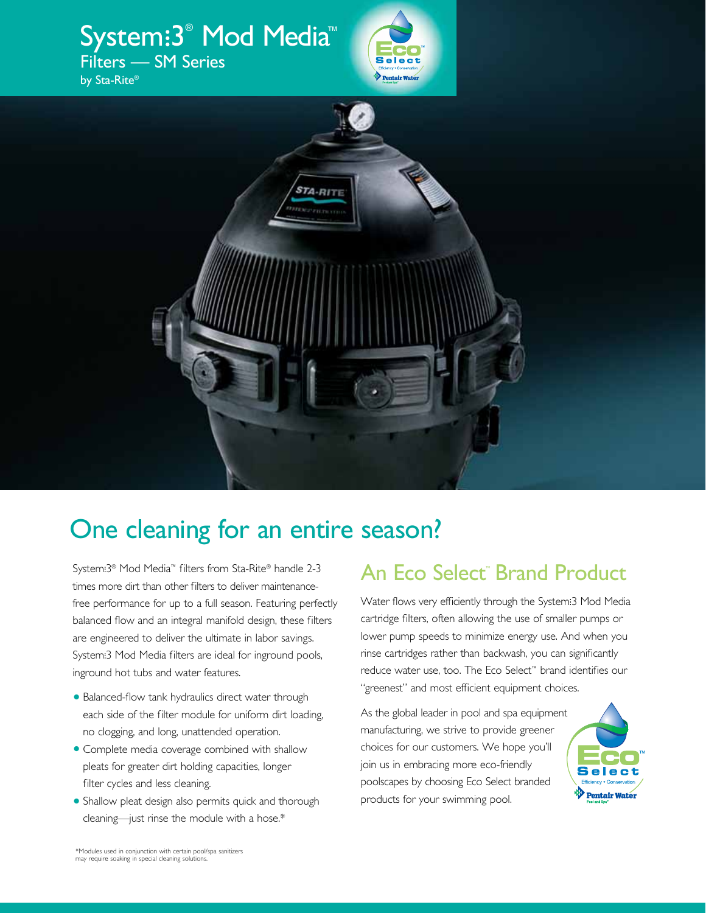

# One cleaning for an entire season?

System. 3® Mod Media™ filters from Sta-Rite® handle 2-3 . . times more dirt than other filters to deliver maintenancefree performance for up to a full season. Featuring perfectly balanced flow and an integral manifold design, these filters are engineered to deliver the ultimate in labor savings. System. 3 Mod Media filters are ideal for inground pools, . . inground hot tubs and water features.

- **•** Balanced-flow tank hydraulics direct water through each side of the filter module for uniform dirt loading, no clogging, and long, unattended operation.
- **•** Complete media coverage combined with shallow pleats for greater dirt holding capacities, longer filter cycles and less cleaning.
- **•** Shallow pleat design also permits quick and thorough cleaning—just rinse the module with a hose.\*

### An Eco Select<sup>®</sup> Brand Product

Water flows very efficiently through the System. 3 Mod Media . . cartridge filters, often allowing the use of smaller pumps or lower pump speeds to minimize energy use. And when you rinse cartridges rather than backwash, you can significantly reduce water use, too. The Eco Select™ brand identifies our "greenest" and most efficient equipment choices.

As the global leader in pool and spa equipment manufacturing, we strive to provide greener choices for our customers. We hope you'll join us in embracing more eco-friendly poolscapes by choosing Eco Select branded products for your swimming pool.